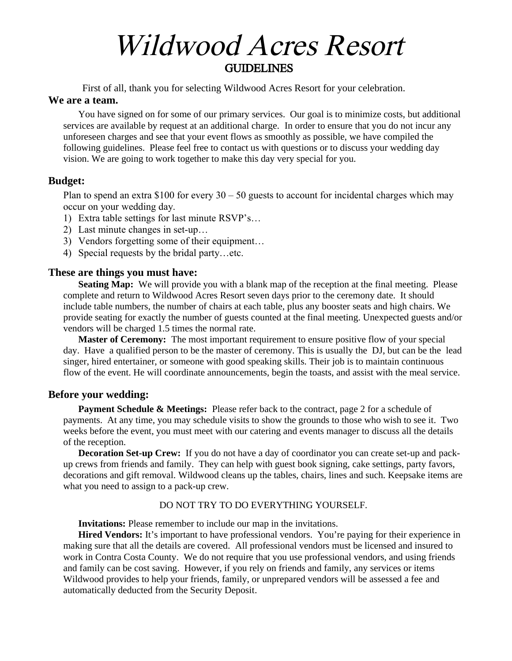# Wildwood Acres Resort **GUIDELINES**

First of all, thank you for selecting Wildwood Acres Resort for your celebration.

#### **We are a team.**

You have signed on for some of our primary services. Our goal is to minimize costs, but additional services are available by request at an additional charge. In order to ensure that you do not incur any unforeseen charges and see that your event flows as smoothly as possible, we have compiled the following guidelines. Please feel free to contact us with questions or to discuss your wedding day vision. We are going to work together to make this day very special for you.

## **Budget:**

Plan to spend an extra  $$100$  for every  $30 - 50$  guests to account for incidental charges which may occur on your wedding day.

- 1) Extra table settings for last minute RSVP's…
- 2) Last minute changes in set-up…
- 3) Vendors forgetting some of their equipment…
- 4) Special requests by the bridal party…etc.

## **These are things you must have:**

**Seating Map:** We will provide you with a blank map of the reception at the final meeting. Please complete and return to Wildwood Acres Resort seven days prior to the ceremony date. It should include table numbers, the number of chairs at each table, plus any booster seats and high chairs. We provide seating for exactly the number of guests counted at the final meeting. Unexpected guests and/or vendors will be charged 1.5 times the normal rate.

**Master of Ceremony:** The most important requirement to ensure positive flow of your special day. Have a qualified person to be the master of ceremony. This is usually the DJ, but can be the lead singer, hired entertainer, or someone with good speaking skills. Their job is to maintain continuous flow of the event. He will coordinate announcements, begin the toasts, and assist with the meal service.

#### **Before your wedding:**

**Payment Schedule & Meetings:** Please refer back to the contract, page 2 for a schedule of payments. At any time, you may schedule visits to show the grounds to those who wish to see it. Two weeks before the event, you must meet with our catering and events manager to discuss all the details of the reception.

**Decoration Set-up Crew:** If you do not have a day of coordinator you can create set-up and packup crews from friends and family. They can help with guest book signing, cake settings, party favors, decorations and gift removal. Wildwood cleans up the tables, chairs, lines and such. Keepsake items are what you need to assign to a pack-up crew.

#### DO NOT TRY TO DO EVERYTHING YOURSELF.

**Invitations:** Please remember to include our map in the invitations.

**Hired Vendors:** It's important to have professional vendors. You're paying for their experience in making sure that all the details are covered. All professional vendors must be licensed and insured to work in Contra Costa County. We do not require that you use professional vendors, and using friends and family can be cost saving. However, if you rely on friends and family, any services or items Wildwood provides to help your friends, family, or unprepared vendors will be assessed a fee and automatically deducted from the Security Deposit.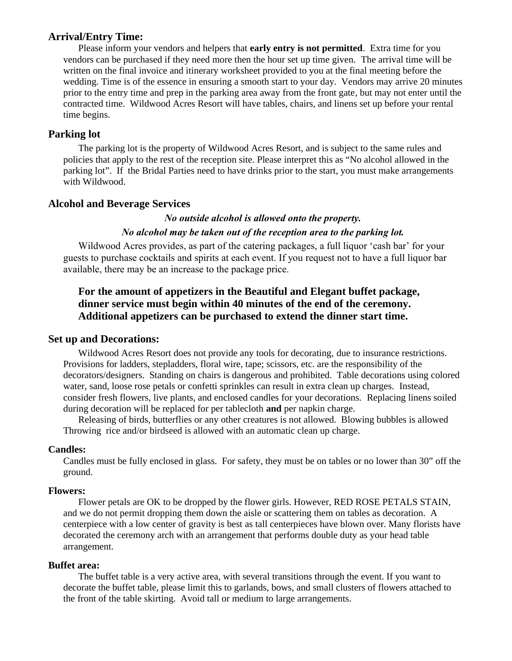## **Arrival/Entry Time:**

Please inform your vendors and helpers that **early entry is not permitted**. Extra time for you vendors can be purchased if they need more then the hour set up time given. The arrival time will be written on the final invoice and itinerary worksheet provided to you at the final meeting before the wedding. Time is of the essence in ensuring a smooth start to your day. Vendors may arrive 20 minutes prior to the entry time and prep in the parking area away from the front gate, but may not enter until the contracted time. Wildwood Acres Resort will have tables, chairs, and linens set up before your rental time begins.

# **Parking lot**

The parking lot is the property of Wildwood Acres Resort, and is subject to the same rules and policies that apply to the rest of the reception site. Please interpret this as "No alcohol allowed in the parking lot". If the Bridal Parties need to have drinks prior to the start, you must make arrangements with Wildwood.

# **Alcohol and Beverage Services**

## *No outside alcohol is allowed onto the property. No alcohol may be taken out of the reception area to the parking lot.*

Wildwood Acres provides, as part of the catering packages, a full liquor 'cash bar' for your guests to purchase cocktails and spirits at each event. If you request not to have a full liquor bar available, there may be an increase to the package price.

# **For the amount of appetizers in the Beautiful and Elegant buffet package, dinner service must begin within 40 minutes of the end of the ceremony. Additional appetizers can be purchased to extend the dinner start time.**

#### **Set up and Decorations:**

Wildwood Acres Resort does not provide any tools for decorating, due to insurance restrictions. Provisions for ladders, stepladders, floral wire, tape; scissors, etc. are the responsibility of the decorators/designers. Standing on chairs is dangerous and prohibited. Table decorations using colored water, sand, loose rose petals or confetti sprinkles can result in extra clean up charges. Instead, consider fresh flowers, live plants, and enclosed candles for your decorations. Replacing linens soiled during decoration will be replaced for per tablecloth **and** per napkin charge.

Releasing of birds, butterflies or any other creatures is not allowed. Blowing bubbles is allowed Throwing rice and/or birdseed is allowed with an automatic clean up charge.

#### **Candles:**

Candles must be fully enclosed in glass. For safety, they must be on tables or no lower than 30" off the ground.

#### **Flowers:**

Flower petals are OK to be dropped by the flower girls. However, RED ROSE PETALS STAIN, and we do not permit dropping them down the aisle or scattering them on tables as decoration. A centerpiece with a low center of gravity is best as tall centerpieces have blown over. Many florists have decorated the ceremony arch with an arrangement that performs double duty as your head table arrangement.

#### **Buffet area:**

The buffet table is a very active area, with several transitions through the event. If you want to decorate the buffet table, please limit this to garlands, bows, and small clusters of flowers attached to the front of the table skirting. Avoid tall or medium to large arrangements.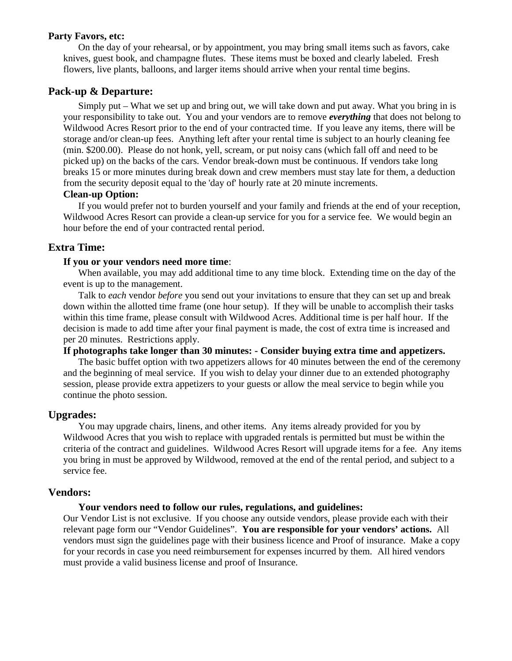#### **Party Favors, etc:**

On the day of your rehearsal, or by appointment, you may bring small items such as favors, cake knives, guest book, and champagne flutes. These items must be boxed and clearly labeled. Fresh flowers, live plants, balloons, and larger items should arrive when your rental time begins.

#### **Pack-up & Departure:**

Simply put – What we set up and bring out, we will take down and put away. What you bring in is your responsibility to take out. You and your vendors are to remove *everything* that does not belong to Wildwood Acres Resort prior to the end of your contracted time. If you leave any items, there will be storage and/or clean-up fees. Anything left after your rental time is subject to an hourly cleaning fee (min. \$200.00). Please do not honk, yell, scream, or put noisy cans (which fall off and need to be picked up) on the backs of the cars. Vendor break-down must be continuous. If vendors take long breaks 15 or more minutes during break down and crew members must stay late for them, a deduction from the security deposit equal to the 'day of' hourly rate at 20 minute increments.

## **Clean-up Option:**

If you would prefer not to burden yourself and your family and friends at the end of your reception, Wildwood Acres Resort can provide a clean-up service for you for a service fee. We would begin an hour before the end of your contracted rental period.

## **Extra Time:**

#### **If you or your vendors need more time**:

When available, you may add additional time to any time block. Extending time on the day of the event is up to the management.

Talk to *each* vendor *before* you send out your invitations to ensure that they can set up and break down within the allotted time frame (one hour setup). If they will be unable to accomplish their tasks within this time frame, please consult with Wildwood Acres. Additional time is per half hour. If the decision is made to add time after your final payment is made, the cost of extra time is increased and per 20 minutes. Restrictions apply.

## **If photographs take longer than 30 minutes: - Consider buying extra time and appetizers.**

The basic buffet option with two appetizers allows for 40 minutes between the end of the ceremony and the beginning of meal service.If you wish to delay your dinner due to an extended photography session, please provide extra appetizers to your guests or allow the meal service to begin while you continue the photo session.

#### **Upgrades:**

You may upgrade chairs, linens, and other items. Any items already provided for you by Wildwood Acres that you wish to replace with upgraded rentals is permitted but must be within the criteria of the contract and guidelines. Wildwood Acres Resort will upgrade items for a fee. Any items you bring in must be approved by Wildwood, removed at the end of the rental period, and subject to a service fee.

#### **Vendors:**

#### **Your vendors need to follow our rules, regulations, and guidelines:**

Our Vendor List is not exclusive. If you choose any outside vendors, please provide each with their relevant page form our "Vendor Guidelines". **You are responsible for your vendors' actions.** All vendors must sign the guidelines page with their business licence and Proof of insurance. Make a copy for your records in case you need reimbursement for expenses incurred by them. All hired vendors must provide a valid business license and proof of Insurance.